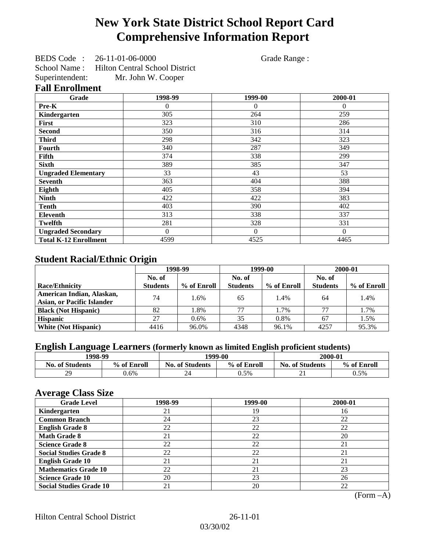# **New York State District School Report Card Comprehensive Information Report**

BEDS Code : 26-11-01-06-0000 Grade Range : School Name : Hilton Central School District Superintendent: Mr. John W. Cooper

## **Fall Enrollment**

| Grade                        | 1998-99  | 1999-00  | 2000-01  |
|------------------------------|----------|----------|----------|
| Pre-K                        | 0        | $\theta$ | $\Omega$ |
| Kindergarten                 | 305      | 264      | 259      |
| First                        | 323      | 310      | 286      |
| <b>Second</b>                | 350      | 316      | 314      |
| <b>Third</b>                 | 298      | 342      | 323      |
| <b>Fourth</b>                | 340      | 287      | 349      |
| Fifth                        | 374      | 338      | 299      |
| <b>Sixth</b>                 | 389      | 385      | 347      |
| <b>Ungraded Elementary</b>   | 33       | 43       | 53       |
| <b>Seventh</b>               | 363      | 404      | 388      |
| Eighth                       | 405      | 358      | 394      |
| <b>Ninth</b>                 | 422      | 422      | 383      |
| <b>Tenth</b>                 | 403      | 390      | 402      |
| <b>Eleventh</b>              | 313      | 338      | 337      |
| <b>Twelfth</b>               | 281      | 328      | 331      |
| <b>Ungraded Secondary</b>    | $\Omega$ | $\Omega$ | $\theta$ |
| <b>Total K-12 Enrollment</b> | 4599     | 4525     | 4465     |

### **Student Racial/Ethnic Origin**

|                                   | 1998-99         |             | 1999-00         |             | 2000-01         |             |
|-----------------------------------|-----------------|-------------|-----------------|-------------|-----------------|-------------|
|                                   | No. of          |             | No. of          |             | No. of          |             |
| <b>Race/Ethnicity</b>             | <b>Students</b> | % of Enroll | <b>Students</b> | % of Enroll | <b>Students</b> | % of Enroll |
| American Indian, Alaskan,         | 74              | 1.6%        | 65              | 1.4%        | 64              | 1.4%        |
| <b>Asian, or Pacific Islander</b> |                 |             |                 |             |                 |             |
| <b>Black (Not Hispanic)</b>       | 82              | 1.8%        | 77              | 1.7%        | 77              | 1.7%        |
| <b>Hispanic</b>                   | 27              | $0.6\%$     | 35              | 0.8%        | 67              | 1.5%        |
| <b>White (Not Hispanic)</b>       | 4416            | 96.0%       | 4348            | 96.1%       | 4257            | 95.3%       |

## **English Language Learners (formerly known as limited English proficient students)**

|                        | 1998-99<br>1999-00 |                        | 2000-01     |                        |             |
|------------------------|--------------------|------------------------|-------------|------------------------|-------------|
| <b>No. of Students</b> | % of Enroll        | <b>No. of Students</b> | % of Enroll | <b>No. of Students</b> | % of Enroll |
| 29                     | $0.6\%$            | 24                     | 0.5%        | $\sim$<br>∠⊥           | 0.5%        |

### **Average Class Size**

| <u>ືຕ</u><br><b>Grade Level</b> | 1998-99 | 1999-00 | 2000-01 |
|---------------------------------|---------|---------|---------|
| Kindergarten                    | 21      | 19      | 16      |
| <b>Common Branch</b>            | 24      | 23      | 22      |
| <b>English Grade 8</b>          | 22      | 22      | 22      |
| <b>Math Grade 8</b>             | 21      | 22      | 20      |
| <b>Science Grade 8</b>          | 22      | 22      | 21      |
| <b>Social Studies Grade 8</b>   | 22      | 22      | 21      |
| <b>English Grade 10</b>         | 21      | 21      | 21      |
| <b>Mathematics Grade 10</b>     | 22      | 21      | 23      |
| <b>Science Grade 10</b>         | 20      | 23      | 26      |
| <b>Social Studies Grade 10</b>  | 21      | 20      | 22      |

(Form –A)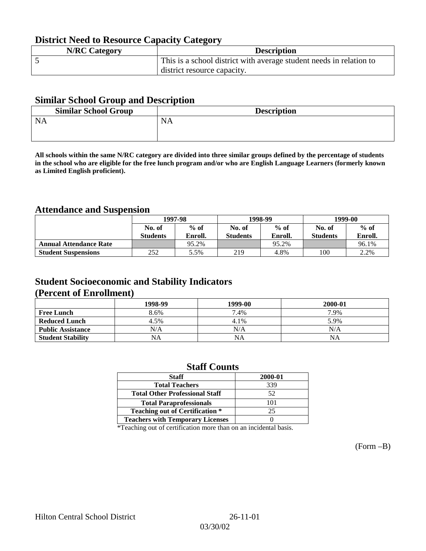## **District Need to Resource Capacity Category**

| <b>N/RC Category</b> | <b>Description</b>                                                  |
|----------------------|---------------------------------------------------------------------|
|                      | This is a school district with average student needs in relation to |
|                      | district resource capacity.                                         |

### **Similar School Group and Description**

| <b>Similar School Group</b> | <b>Description</b> |
|-----------------------------|--------------------|
| <b>NA</b>                   | <b>NA</b>          |

**All schools within the same N/RC category are divided into three similar groups defined by the percentage of students in the school who are eligible for the free lunch program and/or who are English Language Learners (formerly known as Limited English proficient).**

## **Attendance and Suspension**

|                               | 1997-98         |         | 1998-99         |         | 1999-00         |         |
|-------------------------------|-----------------|---------|-----------------|---------|-----------------|---------|
|                               | No. of          | $%$ of  | No. of          | $%$ of  | No. of          | $%$ of  |
|                               | <b>Students</b> | Enroll. | <b>Students</b> | Enroll. | <b>Students</b> | Enroll. |
| <b>Annual Attendance Rate</b> |                 | 95.2%   |                 | 95.2%   |                 | 96.1%   |
| <b>Student Suspensions</b>    | 252             | 5.5%    | 219             | 4.8%    | 100             | 2.2%    |

### **Student Socioeconomic and Stability Indicators (Percent of Enrollment)**

|                          | 1998-99 | 1999-00   | 2000-01 |
|--------------------------|---------|-----------|---------|
| <b>Free Lunch</b>        | 8.6%    | 7.4%      | 7.9%    |
| <b>Reduced Lunch</b>     | 4.5%    | 4.1%      | 5.9%    |
| <b>Public Assistance</b> | N/A     | N/A       | N/A     |
| <b>Student Stability</b> | NA      | <b>NA</b> | NA      |

### **Staff Counts**

| <b>Staff</b>                            | 2000-01 |
|-----------------------------------------|---------|
| <b>Total Teachers</b>                   | 339     |
| <b>Total Other Professional Staff</b>   | 52      |
| <b>Total Paraprofessionals</b>          | 101     |
| <b>Teaching out of Certification *</b>  | 25      |
| <b>Teachers with Temporary Licenses</b> |         |

\*Teaching out of certification more than on an incidental basis.

(Form –B)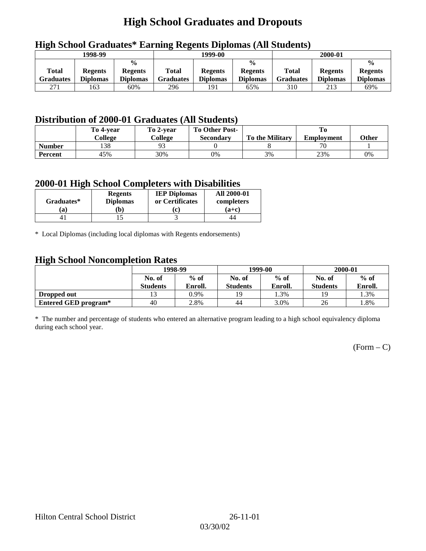# **High School Graduates and Dropouts**

|                    | 1998-99                           |                                                    |                                  | 1999-00                           |                                                    |                           | 2000-01                           |                                                    |
|--------------------|-----------------------------------|----------------------------------------------------|----------------------------------|-----------------------------------|----------------------------------------------------|---------------------------|-----------------------------------|----------------------------------------------------|
| Total<br>Graduates | <b>Regents</b><br><b>Diplomas</b> | $\frac{0}{0}$<br><b>Regents</b><br><b>Diplomas</b> | <b>Total</b><br><b>Graduates</b> | <b>Regents</b><br><b>Diplomas</b> | $\frac{0}{0}$<br><b>Regents</b><br><b>Diplomas</b> | Total<br><b>Graduates</b> | <b>Regents</b><br><b>Diplomas</b> | $\frac{0}{0}$<br><b>Regents</b><br><b>Diplomas</b> |
| 271                | 163                               | 60%                                                | 296                              | 191                               | 65%                                                | 310                       | 213                               | 69%                                                |

## **High School Graduates\* Earning Regents Diplomas (All Students)**

## **Distribution of 2000-01 Graduates (All Students)**

|               | To 4-vear<br>College | To 2-year<br>College | <b>To Other Post-</b><br>Secondary | <b>To the Military</b> | <b>Employment</b> | <b>Other</b> |
|---------------|----------------------|----------------------|------------------------------------|------------------------|-------------------|--------------|
| <b>Number</b> | 138                  | ۵2                   |                                    |                        |                   |              |
| Percent       | 45%                  | 30%                  | 0%                                 | 3%                     | 23%               | 0%           |

### **2000-01 High School Completers with Disabilities**

| Graduates* | <b>Regents</b><br><b>Diplomas</b> | <b>IEP Diplomas</b><br>or Certificates | <b>All 2000-01</b><br>completers |
|------------|-----------------------------------|----------------------------------------|----------------------------------|
| `a         | b)                                |                                        | $(a+c)$                          |
|            |                                   |                                        | 44                               |

\* Local Diplomas (including local diplomas with Regents endorsements)

### **High School Noncompletion Rates**

| $\tilde{\phantom{a}}$ | 1998-99<br>$%$ of<br>No. of |         |                 | 1999-00 | 2000-01         |         |  |
|-----------------------|-----------------------------|---------|-----------------|---------|-----------------|---------|--|
|                       |                             |         | No. of          | $%$ of  | No. of          | $%$ of  |  |
|                       | <b>Students</b>             | Enroll. | <b>Students</b> | Enroll. | <b>Students</b> | Enroll. |  |
| Dropped out           |                             | 0.9%    | 19              | 1.3%    | 19              | 1.3%    |  |
| Entered GED program*  | 40                          | 2.8%    | 44              | 3.0%    | 26              | 1.8%    |  |

\* The number and percentage of students who entered an alternative program leading to a high school equivalency diploma during each school year.

 $(Form - C)$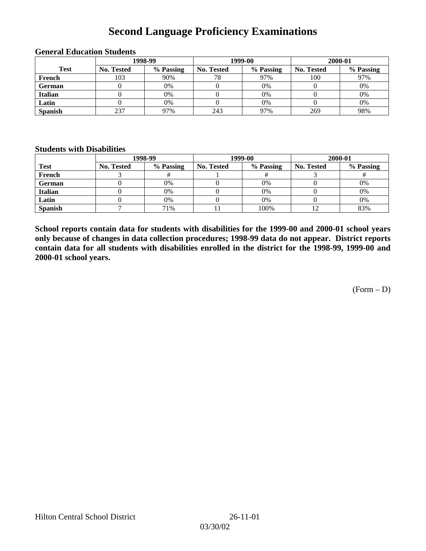# **Second Language Proficiency Examinations**

|                | 1998-99    |           |                   | 1999-00   | 2000-01    |           |  |
|----------------|------------|-----------|-------------------|-----------|------------|-----------|--|
| <b>Test</b>    | No. Tested | % Passing | <b>No. Tested</b> | % Passing | No. Tested | % Passing |  |
| French         | 103        | 90%       | 78                | 97%       | 100        | 97%       |  |
| <b>German</b>  |            | 0%        |                   | 0%        |            | 0%        |  |
| <b>Italian</b> |            | 0%        |                   | 0%        |            | 0%        |  |
| Latin          |            | 0%        |                   | 0%        |            | 0%        |  |
| <b>Spanish</b> | 237        | 97%       | 243               | 97%       | 269        | 98%       |  |

#### **General Education Students**

### **Students with Disabilities**

|                | 1998-99    |           |                   | 1999-00   | 2000-01           |           |  |
|----------------|------------|-----------|-------------------|-----------|-------------------|-----------|--|
| <b>Test</b>    | No. Tested | % Passing | <b>No. Tested</b> | % Passing | <b>No. Tested</b> | % Passing |  |
| French         |            |           |                   |           |                   |           |  |
| German         |            | 0%        |                   | $0\%$     |                   | 0%        |  |
| <b>Italian</b> |            | 0%        |                   | $0\%$     |                   | 0%        |  |
| Latin          |            | 0%        |                   | $0\%$     |                   | 0%        |  |
| <b>Spanish</b> |            | 71%       |                   | 100%      |                   | 83%       |  |

**School reports contain data for students with disabilities for the 1999-00 and 2000-01 school years only because of changes in data collection procedures; 1998-99 data do not appear. District reports contain data for all students with disabilities enrolled in the district for the 1998-99, 1999-00 and 2000-01 school years.**

(Form – D)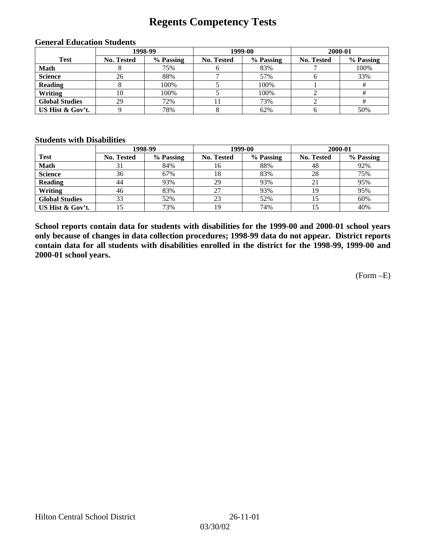## **Regents Competency Tests**

|                       | 1998-99           |           |                   | 1999-00   | 2000-01           |           |  |
|-----------------------|-------------------|-----------|-------------------|-----------|-------------------|-----------|--|
| <b>Test</b>           | <b>No. Tested</b> | % Passing | <b>No. Tested</b> | % Passing | <b>No. Tested</b> | % Passing |  |
| <b>Math</b>           |                   | 75%       |                   | 83%       |                   | 100%      |  |
| <b>Science</b>        | 26                | 88%       |                   | 57%       |                   | 33%       |  |
| <b>Reading</b>        |                   | 100%      |                   | 100%      |                   |           |  |
| Writing               | 10                | 100%      |                   | 100%      |                   |           |  |
| <b>Global Studies</b> | 29                | 72%       |                   | 73%       |                   |           |  |
| US Hist & Gov't.      |                   | 78%       |                   | 62%       |                   | 50%       |  |

#### **General Education Students**

#### **Students with Disabilities**

|                       |                   | 1998-99   | 1999-00           |           | 2000-01           |           |
|-----------------------|-------------------|-----------|-------------------|-----------|-------------------|-----------|
| <b>Test</b>           | <b>No. Tested</b> | % Passing | <b>No. Tested</b> | % Passing | <b>No. Tested</b> | % Passing |
| <b>Math</b>           | 31                | 84%       | 16                | 88%       | 48                | 92%       |
| <b>Science</b>        | 36                | 67%       | 18                | 83%       | 28                | 75%       |
| <b>Reading</b>        | 44                | 93%       | 29                | 93%       | 21                | 95%       |
| Writing               | 46                | 83%       | 27                | 93%       | 19                | 95%       |
| <b>Global Studies</b> | 33                | 52%       | 23                | 52%       |                   | 60%       |
| US Hist & Gov't.      |                   | 73%       | 19                | 74%       |                   | 40%       |

**School reports contain data for students with disabilities for the 1999-00 and 2000-01 school years only because of changes in data collection procedures; 1998-99 data do not appear. District reports contain data for all students with disabilities enrolled in the district for the 1998-99, 1999-00 and 2000-01 school years.**

(Form –E)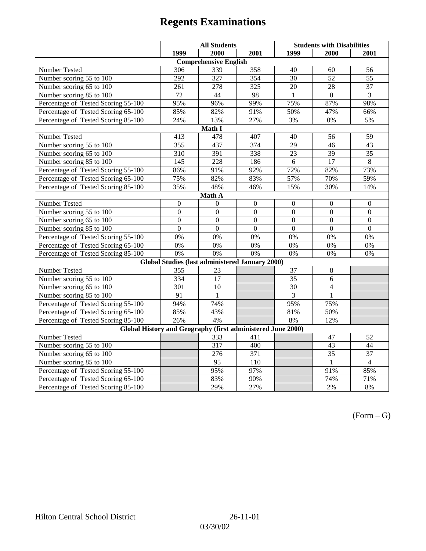|                                                             | <b>All Students</b> |                                                        |                | <b>Students with Disabilities</b> |                  |                  |  |  |
|-------------------------------------------------------------|---------------------|--------------------------------------------------------|----------------|-----------------------------------|------------------|------------------|--|--|
|                                                             | 1999                | 2000                                                   | 2001           | 1999                              | 2000             | 2001             |  |  |
|                                                             |                     | <b>Comprehensive English</b>                           |                |                                   |                  |                  |  |  |
| Number Tested                                               | 306                 | 339                                                    | 358            | 40                                | 60               | 56               |  |  |
| Number scoring 55 to 100                                    | 292                 | $\overline{327}$                                       | 354            | 30                                | $\overline{52}$  | $\overline{55}$  |  |  |
| Number scoring 65 to 100                                    | 261                 | 278                                                    | 325            | $\overline{20}$                   | $\overline{28}$  | $\overline{37}$  |  |  |
| Number scoring 85 to 100                                    | 72                  | 44                                                     | 98             | 1                                 | $\Omega$         | 3                |  |  |
| Percentage of Tested Scoring 55-100                         | 95%                 | 96%                                                    | 99%            | 75%                               | 87%              | 98%              |  |  |
| Percentage of Tested Scoring 65-100                         | 85%                 | 82%                                                    | 91%            | 50%                               | 47%              | 66%              |  |  |
| Percentage of Tested Scoring 85-100                         | 24%                 | 13%                                                    | 27%            | 3%                                | $0\%$            | 5%               |  |  |
|                                                             |                     | Math I                                                 |                |                                   |                  |                  |  |  |
| Number Tested                                               | 413                 | 478                                                    | 407            | 40                                | 56               | 59               |  |  |
| Number scoring 55 to 100                                    | 355                 | 437                                                    | 374            | 29                                | 46               | 43               |  |  |
| Number scoring 65 to 100                                    | 310                 | 391                                                    | 338            | 23                                | 39               | 35               |  |  |
| Number scoring 85 to 100                                    | $\overline{145}$    | $\overline{228}$                                       | 186            | $\overline{6}$                    | 17               | $\overline{8}$   |  |  |
| Percentage of Tested Scoring 55-100                         | 86%                 | 91%                                                    | 92%            | 72%                               | 82%              | 73%              |  |  |
| Percentage of Tested Scoring 65-100                         | 75%                 | 82%                                                    | 83%            | 57%                               | 70%              | 59%              |  |  |
| Percentage of Tested Scoring 85-100                         | 35%                 | 48%                                                    | 46%            | 15%                               | 30%              | 14%              |  |  |
| Math A                                                      |                     |                                                        |                |                                   |                  |                  |  |  |
| Number Tested                                               | $\boldsymbol{0}$    | $\boldsymbol{0}$                                       | $\mathbf{0}$   | $\overline{0}$                    | $\mathbf{0}$     | $\boldsymbol{0}$ |  |  |
| Number scoring 55 to 100                                    | $\overline{0}$      | $\overline{0}$                                         | $\overline{0}$ | $\overline{0}$                    | $\overline{0}$   | $\overline{0}$   |  |  |
| Number scoring 65 to 100                                    | $\boldsymbol{0}$    | $\mathbf{0}$                                           | $\mathbf{0}$   | $\overline{0}$                    | $\boldsymbol{0}$ | $\boldsymbol{0}$ |  |  |
| Number scoring 85 to 100                                    | $\mathbf{0}$        | $\mathbf{0}$                                           | $\mathbf{0}$   | $\mathbf{0}$                      | $\boldsymbol{0}$ | $\boldsymbol{0}$ |  |  |
| Percentage of Tested Scoring 55-100                         | 0%                  | 0%                                                     | 0%             | 0%                                | 0%               | 0%               |  |  |
| Percentage of Tested Scoring 65-100                         | 0%                  | 0%                                                     | 0%             | 0%                                | 0%               | 0%               |  |  |
| Percentage of Tested Scoring 85-100                         | 0%                  | 0%                                                     | 0%             | 0%                                | 0%               | 0%               |  |  |
|                                                             |                     | <b>Global Studies (last administered January 2000)</b> |                |                                   |                  |                  |  |  |
| Number Tested                                               | 355                 | 23                                                     |                | 37                                | $\,8\,$          |                  |  |  |
| Number scoring 55 to 100                                    | 334                 | $\overline{17}$                                        |                | 35                                | 6                |                  |  |  |
| Number scoring 65 to 100                                    | 301                 | 10                                                     |                | 30                                | $\overline{4}$   |                  |  |  |
| Number scoring 85 to 100                                    | 91                  | $\mathbf{1}$                                           |                | 3                                 | 1                |                  |  |  |
| Percentage of Tested Scoring 55-100                         | 94%                 | 74%                                                    |                | 95%                               | 75%              |                  |  |  |
| Percentage of Tested Scoring 65-100                         | 85%                 | 43%                                                    |                | 81%                               | 50%              |                  |  |  |
| Percentage of Tested Scoring 85-100                         | 26%                 | 4%                                                     |                | 8%                                | 12%              |                  |  |  |
| Global History and Geography (first administered June 2000) |                     |                                                        |                |                                   |                  |                  |  |  |
| Number Tested                                               |                     | 333                                                    | 411            |                                   | 47               | 52               |  |  |
| Number scoring 55 to 100                                    |                     | 317                                                    | 400            |                                   | 43               | 44               |  |  |
| Number scoring 65 to 100                                    |                     | 276                                                    | 371            |                                   | $\overline{35}$  | $\overline{37}$  |  |  |
| Number scoring 85 to 100                                    |                     | 95                                                     | 110            |                                   | $\mathbf{1}$     | $\overline{4}$   |  |  |
| Percentage of Tested Scoring 55-100                         |                     | 95%                                                    | 97%            |                                   | 91%              | 85%              |  |  |
| Percentage of Tested Scoring 65-100                         |                     | 83%                                                    | 90%            |                                   | 74%              | 71%              |  |  |
| Percentage of Tested Scoring 85-100                         |                     | 29%                                                    | 27%            |                                   | 2%               | 8%               |  |  |

 $(Form - G)$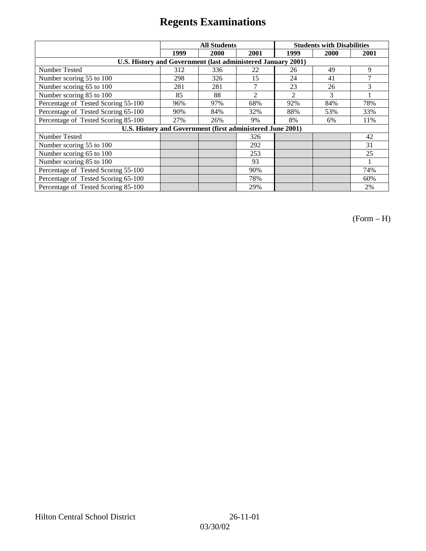|                                                              | <b>All Students</b> |                                                            |                | <b>Students with Disabilities</b> |      |      |
|--------------------------------------------------------------|---------------------|------------------------------------------------------------|----------------|-----------------------------------|------|------|
|                                                              | 1999                | 2000                                                       | 2001           | 1999                              | 2000 | 2001 |
| U.S. History and Government (last administered January 2001) |                     |                                                            |                |                                   |      |      |
| Number Tested                                                | 312                 | 336                                                        | 22             | 26                                | 49   | 9    |
| Number scoring 55 to 100                                     | 298                 | 326                                                        | 15             | 24                                | 41   | 7    |
| Number scoring 65 to 100                                     | 281                 | 281                                                        | $\mathcal{I}$  | 23                                | 26   | 3    |
| Number scoring 85 to 100                                     | 85                  | 88                                                         | $\mathfrak{D}$ | $\mathfrak{D}$                    | 3    |      |
| Percentage of Tested Scoring 55-100                          | 96%                 | 97%                                                        | 68%            | 92%                               | 84%  | 78%  |
| Percentage of Tested Scoring 65-100                          | 90%                 | 84%                                                        | 32%            | 88%                               | 53%  | 33%  |
| Percentage of Tested Scoring 85-100                          | 27%                 | 26%                                                        | 9%             | 8%                                | 6%   | 11%  |
|                                                              |                     | U.S. History and Government (first administered June 2001) |                |                                   |      |      |
| Number Tested                                                |                     |                                                            | 326            |                                   |      | 42   |
| Number scoring 55 to 100                                     |                     |                                                            | 292            |                                   |      | 31   |
| Number scoring 65 to 100                                     |                     |                                                            | 253            |                                   |      | 25   |
| Number scoring 85 to 100                                     |                     |                                                            | 93             |                                   |      |      |
| Percentage of Tested Scoring 55-100                          |                     |                                                            | 90%            |                                   |      | 74%  |
| Percentage of Tested Scoring 65-100                          |                     |                                                            | 78%            |                                   |      | 60%  |
| Percentage of Tested Scoring 85-100                          |                     |                                                            | 29%            |                                   |      | 2%   |

(Form – H)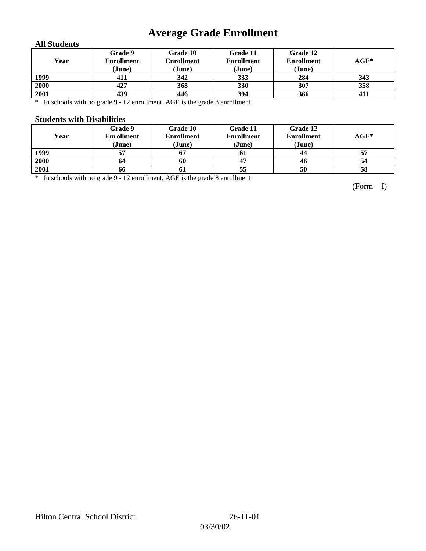# **Average Grade Enrollment**

### **All Students**

| Year | Grade 9<br><b>Enrollment</b><br>(June) | Grade 10<br><b>Enrollment</b><br>(June) | Grade 11<br><b>Enrollment</b><br>(June) | Grade 12<br><b>Enrollment</b><br>(June) | $AGE^*$ |
|------|----------------------------------------|-----------------------------------------|-----------------------------------------|-----------------------------------------|---------|
| 1999 | 411                                    | 342                                     | 333                                     | 284                                     | 343     |
| 2000 | 427                                    | 368                                     | 330                                     | 307                                     | 358     |
| 2001 | 439                                    | 446                                     | 394                                     | 366                                     | 411     |

\* In schools with no grade 9 - 12 enrollment, AGE is the grade 8 enrollment

#### **Students with Disabilities**

| Year | Grade 9<br><b>Enrollment</b> | Grade 10<br><b>Enrollment</b> | Grade 11<br><b>Enrollment</b> | Grade 12<br><b>Enrollment</b> | $AGE^*$ |
|------|------------------------------|-------------------------------|-------------------------------|-------------------------------|---------|
|      | (June)                       | (June)                        | (June)                        | (June)                        |         |
| 1999 | 57                           | $\bm{0}$                      | 01                            | 44                            | 57      |
| 2000 | 64                           | 60                            |                               | 46                            | 54      |
| 2001 | 66                           | -01                           | 55                            | 50                            | 58      |

\* In schools with no grade 9 - 12 enrollment, AGE is the grade 8 enrollment

(Form – I)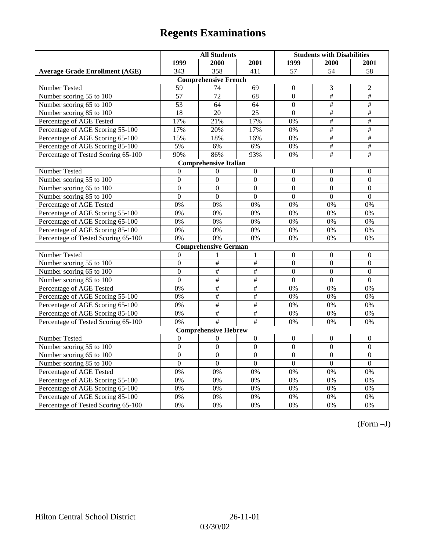|                                       | <b>All Students</b> |                              |                           | <b>Students with Disabilities</b> |                  |                  |
|---------------------------------------|---------------------|------------------------------|---------------------------|-----------------------------------|------------------|------------------|
|                                       | 1999                | 2000                         | 2001                      | 1999                              | 2000             | 2001             |
| <b>Average Grade Enrollment (AGE)</b> | 343                 | 358                          | 411                       | 57                                | $\overline{54}$  | 58               |
|                                       |                     | <b>Comprehensive French</b>  |                           |                                   |                  |                  |
| Number Tested                         | 59                  | 74                           | 69                        | $\theta$                          | 3                | 2                |
| Number scoring 55 to 100              | $\overline{57}$     | $\overline{72}$              | 68                        | $\Omega$                          | $\overline{+}$   | $\overline{+}$   |
| Number scoring 65 to 100              | 53                  | 64                           | 64                        | $\mathbf{0}$                      | $\#$             | $\#$             |
| Number scoring 85 to 100              | 18                  | 20                           | $\overline{25}$           | $\overline{0}$                    | $\overline{\#}$  | $\overline{\#}$  |
| Percentage of AGE Tested              | 17%                 | 21%                          | 17%                       | 0%                                | #                | $\overline{\#}$  |
| Percentage of AGE Scoring 55-100      | 17%                 | 20%                          | 17%                       | 0%                                | $\#$             | $\#$             |
| Percentage of AGE Scoring 65-100      | 15%                 | 18%                          | 16%                       | 0%                                | #                | $\#$             |
| Percentage of AGE Scoring 85-100      | 5%                  | $6\%$                        | 6%                        | 0%                                | #                | $\#$             |
| Percentage of Tested Scoring 65-100   | 90%                 | 86%                          | 93%                       | 0%                                | $\overline{\#}$  | #                |
|                                       |                     | <b>Comprehensive Italian</b> |                           |                                   |                  |                  |
| Number Tested                         | $\Omega$            | $\Omega$                     | $\mathbf{0}$              | $\theta$                          | $\theta$         | $\Omega$         |
| Number scoring 55 to 100              | $\boldsymbol{0}$    | $\Omega$                     | $\Omega$                  | $\boldsymbol{0}$                  | $\boldsymbol{0}$ | $\overline{0}$   |
| Number scoring 65 to 100              | $\overline{0}$      | $\mathbf{0}$                 | $\overline{0}$            | $\overline{0}$                    | $\overline{0}$   | $\mathbf{0}$     |
| Number scoring 85 to 100              | $\overline{0}$      | $\overline{0}$               | $\overline{0}$            | $\mathbf{0}$                      | $\overline{0}$   | $\overline{0}$   |
| Percentage of AGE Tested              | 0%                  | 0%                           | 0%                        | 0%                                | 0%               | 0%               |
| Percentage of AGE Scoring 55-100      | 0%                  | 0%                           | 0%                        | 0%                                | 0%               | 0%               |
| Percentage of AGE Scoring 65-100      | 0%                  | 0%                           | 0%                        | 0%                                | 0%               | 0%               |
| Percentage of AGE Scoring 85-100      | 0%                  | 0%                           | 0%                        | 0%                                | 0%               | 0%               |
| Percentage of Tested Scoring 65-100   | 0%                  | 0%                           | 0%                        | 0%                                | 0%               | 0%               |
|                                       |                     | <b>Comprehensive German</b>  |                           |                                   |                  |                  |
| Number Tested                         | $\mathbf{0}$        |                              | 1                         | $\mathbf{0}$                      | $\mathbf{0}$     | $\mathbf{0}$     |
| Number scoring 55 to 100              | $\boldsymbol{0}$    | #                            | #                         | $\boldsymbol{0}$                  | $\boldsymbol{0}$ | $\Omega$         |
| Number scoring 65 to 100              | $\boldsymbol{0}$    | #                            | $\overline{\#}$           | $\mathbf{0}$                      | $\overline{0}$   | $\mathbf{0}$     |
| Number scoring 85 to 100              | $\overline{0}$      | #                            | $\overline{\#}$           | $\overline{0}$                    | $\overline{0}$   | $\overline{0}$   |
| Percentage of AGE Tested              | 0%                  | $\#$                         | $\#$                      | 0%                                | 0%               | 0%               |
| Percentage of AGE Scoring 55-100      | 0%                  | $\#$                         | $\#$                      | 0%                                | 0%               | 0%               |
| Percentage of AGE Scoring 65-100      | 0%                  | #                            | #                         | 0%                                | 0%               | 0%               |
| Percentage of AGE Scoring 85-100      | 0%                  | $\overline{\#}$              | $\overline{\#}$           | 0%                                | 0%               | 0%               |
| Percentage of Tested Scoring 65-100   | 0%                  | #                            | $\overline{\overline{H}}$ | 0%                                | 0%               | 0%               |
|                                       |                     | <b>Comprehensive Hebrew</b>  |                           |                                   |                  |                  |
| Number Tested                         | $\boldsymbol{0}$    | $\Omega$                     | $\boldsymbol{0}$          | $\boldsymbol{0}$                  | $\boldsymbol{0}$ | $\boldsymbol{0}$ |
| Number scoring 55 to 100              | $\boldsymbol{0}$    | $\mathbf{0}$                 | $\mathbf{0}$              | $\mathbf{0}$                      | $\overline{0}$   | $\mathbf{0}$     |
| Number scoring 65 to 100              | $\boldsymbol{0}$    | $\mathbf{0}$                 | $\overline{0}$            | $\mathbf{0}$                      | $\overline{0}$   | $\mathbf{0}$     |
| Number scoring 85 to 100              | $\overline{0}$      | $\overline{0}$               | $\mathbf{0}$              | $\mathbf{0}$                      | $\overline{0}$   | $\boldsymbol{0}$ |
| Percentage of AGE Tested              | 0%                  | 0%                           | 0%                        | 0%                                | 0%               | 0%               |
| Percentage of AGE Scoring 55-100      | 0%                  | 0%                           | 0%                        | 0%                                | 0%               | 0%               |
| Percentage of AGE Scoring 65-100      | 0%                  | 0%                           | 0%                        | 0%                                | 0%               | 0%               |
| Percentage of AGE Scoring 85-100      | 0%                  | 0%                           | 0%                        | 0%                                | 0%               | $0\%$            |
| Percentage of Tested Scoring 65-100   | 0%                  | 0%                           | 0%                        | 0%                                | 0%               | 0%               |

(Form –J)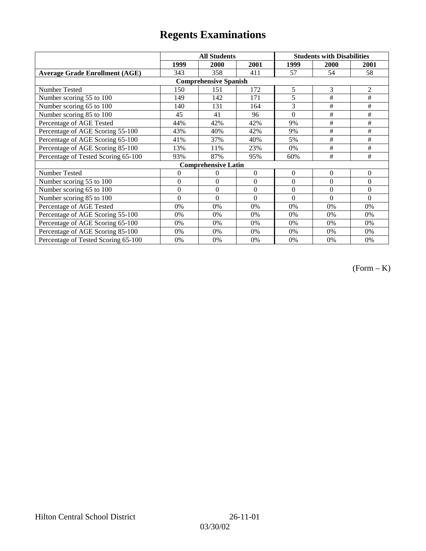|                                       | <b>All Students</b> |                            |                | <b>Students with Disabilities</b> |                |                |  |  |
|---------------------------------------|---------------------|----------------------------|----------------|-----------------------------------|----------------|----------------|--|--|
|                                       | 1999                | 2000                       | 2001           | 1999                              | 2000           | 2001           |  |  |
| <b>Average Grade Enrollment (AGE)</b> | 343                 | 358                        | 411            | 57                                | 54             | 58             |  |  |
| <b>Comprehensive Spanish</b>          |                     |                            |                |                                   |                |                |  |  |
| <b>Number Tested</b>                  | 150                 | 151                        | 172            | 5                                 | 3              | $\overline{2}$ |  |  |
| Number scoring 55 to 100              | 149                 | 142                        | 171            | 5                                 | #              | #              |  |  |
| Number scoring 65 to 100              | 140                 | 131                        | 164            | 3                                 | #              | #              |  |  |
| Number scoring 85 to 100              | 45                  | 41                         | 96             | $\theta$                          | #              | #              |  |  |
| Percentage of AGE Tested              | 44%                 | 42%                        | 42%            | 9%                                | $\#$           | $\#$           |  |  |
| Percentage of AGE Scoring 55-100      | 43%                 | 40%                        | 42%            | 9%                                | $\#$           | $\#$           |  |  |
| Percentage of AGE Scoring 65-100      | 41%                 | 37%                        | 40%            | 5%                                | #              | #              |  |  |
| Percentage of AGE Scoring 85-100      | 13%                 | 11%                        | 23%            | 0%                                | #              | #              |  |  |
| Percentage of Tested Scoring 65-100   | 93%                 | 87%                        | 95%            | 60%                               | #              | #              |  |  |
|                                       |                     | <b>Comprehensive Latin</b> |                |                                   |                |                |  |  |
| Number Tested                         | $\overline{0}$      | 0                          | $\overline{0}$ | $\overline{0}$                    | $\overline{0}$ | $\theta$       |  |  |
| Number scoring 55 to 100              | $\overline{0}$      | $\Omega$                   | $\overline{0}$ | $\overline{0}$                    | $\theta$       | $\Omega$       |  |  |
| Number scoring 65 to 100              | $\mathbf{0}$        | $\theta$                   | $\theta$       | $\theta$                          | $\theta$       | $\Omega$       |  |  |
| Number scoring 85 to 100              | $\theta$            | $\theta$                   | $\theta$       | $\theta$                          | $\theta$       | $\Omega$       |  |  |
| Percentage of AGE Tested              | 0%                  | 0%                         | 0%             | 0%                                | 0%             | 0%             |  |  |
| Percentage of AGE Scoring 55-100      | 0%                  | 0%                         | 0%             | 0%                                | 0%             | 0%             |  |  |
| Percentage of AGE Scoring 65-100      | 0%                  | 0%                         | 0%             | 0%                                | 0%             | 0%             |  |  |
| Percentage of AGE Scoring 85-100      | 0%                  | 0%                         | 0%             | 0%                                | 0%             | 0%             |  |  |
| Percentage of Tested Scoring 65-100   | 0%                  | 0%                         | 0%             | 0%                                | 0%             | 0%             |  |  |

(Form – K)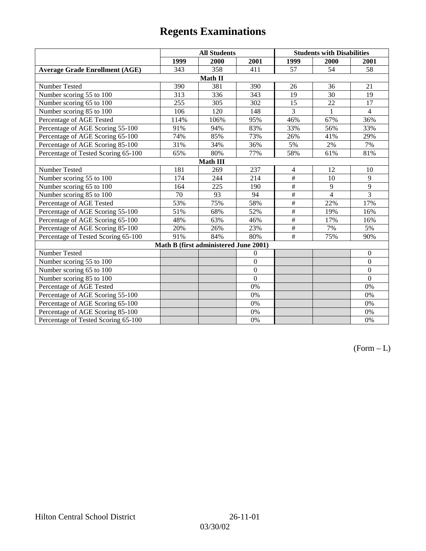|                                       | <b>All Students</b> |                                       |                | <b>Students with Disabilities</b> |                |                |  |  |
|---------------------------------------|---------------------|---------------------------------------|----------------|-----------------------------------|----------------|----------------|--|--|
|                                       | 1999                | 2000                                  | 2001           | 1999                              | 2000           | 2001           |  |  |
| <b>Average Grade Enrollment (AGE)</b> | 343                 | 358                                   | 411            | 57                                | 54             | 58             |  |  |
|                                       |                     | Math II                               |                |                                   |                |                |  |  |
| Number Tested                         | 390                 | 381                                   | 390            | 26                                | 36             | 21             |  |  |
| Number scoring 55 to 100              | 313                 | 336                                   | 343            | 19                                | 30             | 19             |  |  |
| Number scoring 65 to 100              | 255                 | 305                                   | 302            | 15                                | 22             | 17             |  |  |
| Number scoring 85 to 100              | 106                 | 120                                   | 148            | 3                                 | 1              | $\overline{4}$ |  |  |
| Percentage of AGE Tested              | 114%                | 106%                                  | 95%            | 46%                               | 67%            | 36%            |  |  |
| Percentage of AGE Scoring 55-100      | 91%                 | 94%                                   | 83%            | 33%                               | 56%            | 33%            |  |  |
| Percentage of AGE Scoring 65-100      | 74%                 | 85%                                   | 73%            | 26%                               | 41%            | 29%            |  |  |
| Percentage of AGE Scoring 85-100      | 31%                 | 34%                                   | 36%            | 5%                                | 2%             | 7%             |  |  |
| Percentage of Tested Scoring 65-100   | 65%                 | 80%                                   | 77%            | 58%                               | 61%            | 81%            |  |  |
| Math III                              |                     |                                       |                |                                   |                |                |  |  |
| Number Tested                         | 181                 | 269                                   | 237            | $\overline{4}$                    | 12             | 10             |  |  |
| Number scoring 55 to 100              | 174                 | 244                                   | 214            | #                                 | 10             | 9              |  |  |
| Number scoring 65 to 100              | 164                 | 225                                   | 190            | $\overline{\#}$                   | 9              | 9              |  |  |
| Number scoring 85 to 100              | 70                  | 93                                    | 94             | $\overline{\#}$                   | $\overline{4}$ | $\overline{3}$ |  |  |
| Percentage of AGE Tested              | 53%                 | 75%                                   | 58%            | $\#$                              | 22%            | 17%            |  |  |
| Percentage of AGE Scoring 55-100      | 51%                 | 68%                                   | 52%            | $\#$                              | 19%            | 16%            |  |  |
| Percentage of AGE Scoring 65-100      | 48%                 | 63%                                   | 46%            | $\overline{\#}$                   | 17%            | 16%            |  |  |
| Percentage of AGE Scoring 85-100      | 20%                 | 26%                                   | 23%            | $\overline{\#}$                   | 7%             | 5%             |  |  |
| Percentage of Tested Scoring 65-100   | 91%                 | 84%                                   | 80%            | $\#$                              | 75%            | 90%            |  |  |
|                                       |                     | Math B (first administered June 2001) |                |                                   |                |                |  |  |
| Number Tested                         |                     |                                       | $\theta$       |                                   |                | $\mathbf{0}$   |  |  |
| Number scoring 55 to 100              |                     |                                       | $\theta$       |                                   |                | $\overline{0}$ |  |  |
| Number scoring 65 to 100              |                     |                                       | $\theta$       |                                   |                | $\overline{0}$ |  |  |
| Number scoring 85 to 100              |                     |                                       | $\overline{0}$ |                                   |                | $\theta$       |  |  |
| Percentage of AGE Tested              |                     |                                       | 0%             |                                   |                | 0%             |  |  |
| Percentage of AGE Scoring 55-100      |                     |                                       | 0%             |                                   |                | 0%             |  |  |
| Percentage of AGE Scoring 65-100      |                     |                                       | 0%             |                                   |                | 0%             |  |  |
| Percentage of AGE Scoring 85-100      |                     |                                       | 0%             |                                   |                | 0%             |  |  |
| Percentage of Tested Scoring 65-100   |                     |                                       | 0%             |                                   |                | 0%             |  |  |

 $(Form - L)$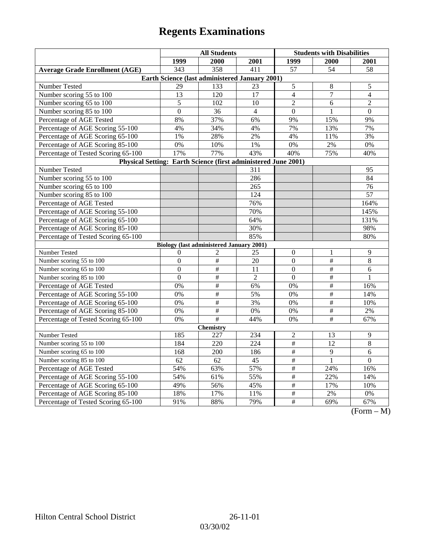|                                                                | <b>All Students</b> |                                                 |                | <b>Students with Disabilities</b> |                      |                                 |  |  |
|----------------------------------------------------------------|---------------------|-------------------------------------------------|----------------|-----------------------------------|----------------------|---------------------------------|--|--|
|                                                                | 1999                | 2000                                            | 2001           | 1999                              | 2000                 | 2001                            |  |  |
| <b>Average Grade Enrollment (AGE)</b>                          | 343                 | 358                                             | 411            | $\overline{57}$                   | 54                   | 58                              |  |  |
| Earth Science (last administered January 2001)                 |                     |                                                 |                |                                   |                      |                                 |  |  |
| Number Tested                                                  | 29                  | 133                                             | 23             | $\sqrt{5}$                        | 8                    | 5                               |  |  |
| Number scoring 55 to 100                                       | 13                  | 120                                             | 17             | $\overline{4}$                    | $\overline{7}$       | $\overline{4}$                  |  |  |
| Number scoring 65 to 100                                       | 5                   | 102                                             | 10             | $\overline{2}$                    | 6                    | $\overline{c}$                  |  |  |
| Number scoring 85 to 100                                       | $\overline{0}$      | 36                                              | $\overline{4}$ | $\mathbf{0}$                      | $\mathbf{1}$         | $\mathbf{0}$                    |  |  |
| Percentage of AGE Tested                                       | 8%                  | 37%                                             | 6%             | 9%                                | 15%                  | 9%                              |  |  |
| Percentage of AGE Scoring 55-100                               | 4%                  | 34%                                             | 4%             | 7%                                | 13%                  | 7%                              |  |  |
| Percentage of AGE Scoring 65-100                               | 1%                  | 28%                                             | 2%             | 4%                                | 11%                  | 3%                              |  |  |
| Percentage of AGE Scoring 85-100                               | $0\%$               | 10%                                             | $1\%$          | $0\%$                             | 2%                   | 0%                              |  |  |
| Percentage of Tested Scoring 65-100                            | 17%                 | 77%                                             | 43%            | 40%                               | 75%                  | 40%                             |  |  |
| Physical Setting: Earth Science (first administered June 2001) |                     |                                                 |                |                                   |                      |                                 |  |  |
| Number Tested                                                  |                     |                                                 | 311            |                                   |                      | 95                              |  |  |
| Number scoring 55 to 100                                       |                     |                                                 | 286            |                                   |                      | 84                              |  |  |
| Number scoring 65 to 100                                       |                     |                                                 | 265            |                                   |                      | 76                              |  |  |
| Number scoring 85 to 100                                       |                     |                                                 | 124            |                                   |                      | 57                              |  |  |
| Percentage of AGE Tested                                       |                     |                                                 | 76%            |                                   |                      | 164%                            |  |  |
| Percentage of AGE Scoring 55-100                               |                     |                                                 | 70%            |                                   |                      | 145%                            |  |  |
| Percentage of AGE Scoring 65-100                               |                     |                                                 | 64%            |                                   |                      | 131%                            |  |  |
| Percentage of AGE Scoring 85-100                               |                     |                                                 | 30%            |                                   |                      | 98%                             |  |  |
| Percentage of Tested Scoring 65-100                            |                     |                                                 | 85%            |                                   |                      | 80%                             |  |  |
|                                                                |                     | <b>Biology (last administered January 2001)</b> |                |                                   |                      |                                 |  |  |
| Number Tested                                                  | $\boldsymbol{0}$    | 2                                               | 25             | $\boldsymbol{0}$                  | 1                    | 9                               |  |  |
| Number scoring 55 to 100                                       | $\mathbf{0}$        | #                                               | 20             | $\overline{0}$                    | #                    | 8                               |  |  |
| Number scoring 65 to 100                                       | $\Omega$            | $\#$                                            | 11             | $\Omega$                          | $\#$                 | 6                               |  |  |
| Number scoring 85 to 100                                       | $\Omega$            | $\#$                                            | $\overline{2}$ | $\Omega$                          | $\overline{\ddot{}}$ | 1                               |  |  |
| Percentage of AGE Tested                                       | 0%                  | $\#$                                            | 6%             | 0%                                | $\overline{\#}$      | 16%                             |  |  |
| Percentage of AGE Scoring 55-100                               | 0%                  | $\overline{\#}$                                 | 5%             | 0%                                | $\#$                 | 14%                             |  |  |
| Percentage of AGE Scoring 65-100                               | 0%                  | $\#$                                            | 3%             | 0%                                | $\#$                 | 10%                             |  |  |
| Percentage of AGE Scoring 85-100                               | 0%                  | $\overline{\#}$                                 | 0%             | 0%                                | $\overline{\#}$      | $2\%$                           |  |  |
| Percentage of Tested Scoring 65-100                            | 0%                  | #                                               | 44%            | 0%                                | #                    | 67%                             |  |  |
| Chemistry                                                      |                     |                                                 |                |                                   |                      |                                 |  |  |
| Number Tested                                                  | 185                 | 227                                             | 234            | $\overline{c}$                    | 13                   | 9                               |  |  |
| Number scoring 55 to 100                                       | 184                 | 220                                             | 224            | $\overline{\#}$                   | 12                   | 8                               |  |  |
| Number scoring 65 to 100                                       | 168                 | 200                                             | 186            | $\frac{1}{2}$                     | $\overline{9}$       | $\overline{6}$                  |  |  |
| Number scoring 85 to 100                                       | 62                  | 62                                              | 45             | $\#$                              | $\mathbf{1}$         | $\boldsymbol{0}$                |  |  |
| Percentage of AGE Tested                                       | 54%                 | 63%                                             | 57%            | $\#$                              | 24%                  | 16%                             |  |  |
| Percentage of AGE Scoring 55-100                               | 54%                 | 61%                                             | 55%            | $\#$                              | 22%                  | 14%                             |  |  |
| Percentage of AGE Scoring 65-100                               | 49%                 | 56%                                             | 45%            | $\overline{\#}$                   | 17%                  | 10%                             |  |  |
| Percentage of AGE Scoring 85-100                               | 18%                 | 17%                                             | 11%            | $\frac{1}{2}$                     | $2\%$                | 0%                              |  |  |
| Percentage of Tested Scoring 65-100                            | 91%                 | 88%                                             | 79%            | $\#$                              | 69%                  | 67%<br>$\Gamma$<br>$\mathbf{M}$ |  |  |

(Form – M)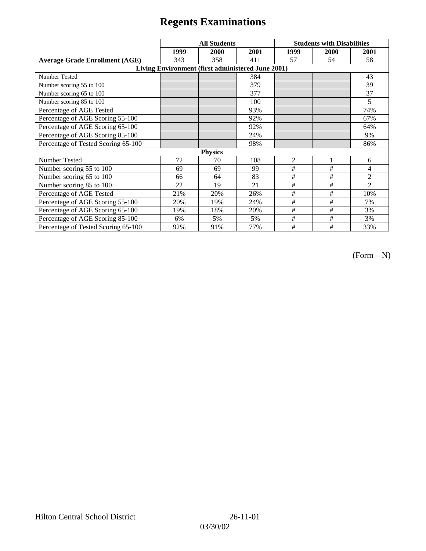|                                                   | <b>All Students</b> |      |      | <b>Students with Disabilities</b> |      |                |  |  |
|---------------------------------------------------|---------------------|------|------|-----------------------------------|------|----------------|--|--|
|                                                   | 1999                | 2000 | 2001 | 1999                              | 2000 | 2001           |  |  |
| <b>Average Grade Enrollment (AGE)</b>             | 343                 | 358  | 411  | 57                                | 54   | 58             |  |  |
| Living Environment (first administered June 2001) |                     |      |      |                                   |      |                |  |  |
| <b>Number Tested</b>                              |                     |      | 384  |                                   |      | 43             |  |  |
| Number scoring 55 to 100                          |                     |      | 379  |                                   |      | 39             |  |  |
| Number scoring 65 to 100                          |                     |      | 377  |                                   |      | 37             |  |  |
| Number scoring 85 to 100                          |                     |      | 100  |                                   |      | 5              |  |  |
| Percentage of AGE Tested                          |                     |      | 93%  |                                   |      | 74%            |  |  |
| Percentage of AGE Scoring 55-100                  |                     |      | 92%  |                                   |      | 67%            |  |  |
| Percentage of AGE Scoring 65-100                  |                     |      | 92%  |                                   |      | 64%            |  |  |
| Percentage of AGE Scoring 85-100                  |                     |      | 24%  |                                   |      | 9%             |  |  |
| Percentage of Tested Scoring 65-100               |                     |      | 98%  |                                   |      | 86%            |  |  |
| <b>Physics</b>                                    |                     |      |      |                                   |      |                |  |  |
| Number Tested                                     | 72                  | 70   | 108  | $\overline{2}$                    |      | 6              |  |  |
| Number scoring 55 to 100                          | 69                  | 69   | 99   | #                                 | #    | 4              |  |  |
| Number scoring 65 to 100                          | 66                  | 64   | 83   | #                                 | #    | $\overline{2}$ |  |  |
| Number scoring 85 to 100                          | 22                  | 19   | 21   | #                                 | #    | $\overline{2}$ |  |  |
| Percentage of AGE Tested                          | 21%                 | 20%  | 26%  | #                                 | #    | 10%            |  |  |
| Percentage of AGE Scoring 55-100                  | 20%                 | 19%  | 24%  | $\#$                              | $\#$ | 7%             |  |  |
| Percentage of AGE Scoring 65-100                  | 19%                 | 18%  | 20%  | #                                 | #    | 3%             |  |  |
| Percentage of AGE Scoring 85-100                  | 6%                  | 5%   | 5%   | $\#$                              | #    | 3%             |  |  |
| Percentage of Tested Scoring 65-100               | 92%                 | 91%  | 77%  | #                                 | #    | 33%            |  |  |

 $(Form - N)$